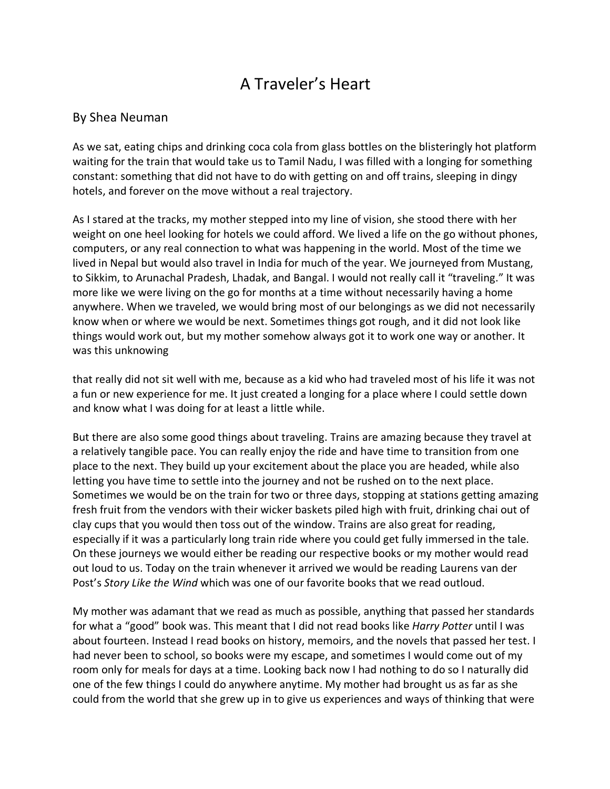## A Traveler's Heart

## By Shea Neuman

As we sat, eating chips and drinking coca cola from glass bottles on the blisteringly hot platform waiting for the train that would take us to Tamil Nadu, I was filled with a longing for something constant: something that did not have to do with getting on and off trains, sleeping in dingy hotels, and forever on the move without a real trajectory.

As I stared at the tracks, my mother stepped into my line of vision, she stood there with her weight on one heel looking for hotels we could afford. We lived a life on the go without phones, computers, or any real connection to what was happening in the world. Most of the time we lived in Nepal but would also travel in India for much of the year. We journeyed from Mustang, to Sikkim, to Arunachal Pradesh, Lhadak, and Bangal. I would not really call it "traveling." It was more like we were living on the go for months at a time without necessarily having a home anywhere. When we traveled, we would bring most of our belongings as we did not necessarily know when or where we would be next. Sometimes things got rough, and it did not look like things would work out, but my mother somehow always got it to work one way or another. It was this unknowing

that really did not sit well with me, because as a kid who had traveled most of his life it was not a fun or new experience for me. It just created a longing for a place where I could settle down and know what I was doing for at least a little while.

But there are also some good things about traveling. Trains are amazing because they travel at a relatively tangible pace. You can really enjoy the ride and have time to transition from one place to the next. They build up your excitement about the place you are headed, while also letting you have time to settle into the journey and not be rushed on to the next place. Sometimes we would be on the train for two or three days, stopping at stations getting amazing fresh fruit from the vendors with their wicker baskets piled high with fruit, drinking chai out of clay cups that you would then toss out of the window. Trains are also great for reading, especially if it was a particularly long train ride where you could get fully immersed in the tale. On these journeys we would either be reading our respective books or my mother would read out loud to us. Today on the train whenever it arrived we would be reading Laurens van der Post's *Story Like the Wind* which was one of our favorite books that we read outloud.

My mother was adamant that we read as much as possible, anything that passed her standards for what a "good" book was. This meant that I did not read books like *Harry Potter* until I was about fourteen. Instead I read books on history, memoirs, and the novels that passed her test. I had never been to school, so books were my escape, and sometimes I would come out of my room only for meals for days at a time. Looking back now I had nothing to do so I naturally did one of the few things I could do anywhere anytime. My mother had brought us as far as she could from the world that she grew up in to give us experiences and ways of thinking that were